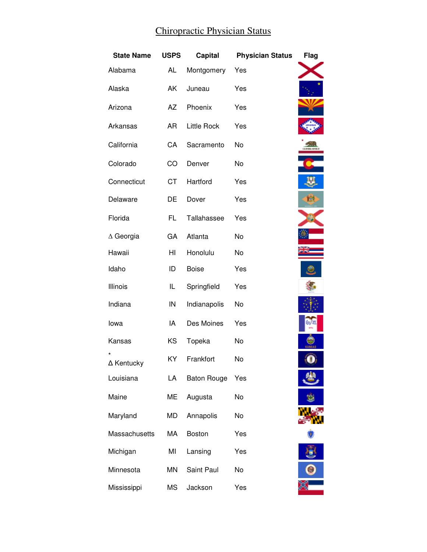## Chiropractic Physician Status

| <b>State Name</b> | <b>USPS</b> | Capital            | <b>Physician Status</b> | Flag |
|-------------------|-------------|--------------------|-------------------------|------|
| Alabama           | <b>AL</b>   | Montgomery         | Yes                     |      |
| Alaska            | AK          | Juneau             | Yes                     |      |
| Arizona           | AZ          | Phoenix            | Yes                     |      |
| Arkansas          | <b>AR</b>   | <b>Little Rock</b> | Yes                     |      |
| California        | CA          | Sacramento         | No                      |      |
| Colorado          | CO          | Denver             | No                      |      |
| Connecticut       | <b>CT</b>   | Hartford           | Yes                     |      |
| Delaware          | DE          | Dover              | Yes                     |      |
| Florida           | FL.         | Tallahassee        | Yes                     |      |
| $\Delta$ Georgia  | GA          | Atlanta            | No                      |      |
| Hawaii            | HI          | Honolulu           | No                      |      |
| Idaho             | ID          | <b>Boise</b>       | Yes                     |      |
| Illinois          | IL          | Springfield        | Yes                     |      |
| Indiana           | IN          | Indianapolis       | No                      |      |
| lowa              | IA          | Des Moines         | Yes                     |      |
| Kansas            | KS          | Topeka             | No                      |      |
| ∆ Kentucky        | ΚY          | Frankfort          | No                      |      |
| Louisiana         | LA          | <b>Baton Rouge</b> | Yes                     |      |
| Maine             | ME          | Augusta            | No                      |      |
| Maryland          | <b>MD</b>   | Annapolis          | No                      |      |
| Massachusetts     | МA          | Boston             | Yes                     |      |
| Michigan          | MI          | Lansing            | Yes                     |      |
| Minnesota         | MN          | Saint Paul         | No                      |      |
| Mississippi       | <b>MS</b>   | Jackson            | Yes                     |      |

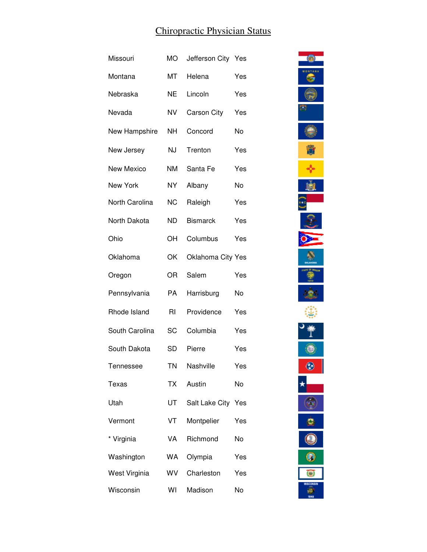## Chiropractic Physician Status

| Missouri       | <b>MO</b>      | Jefferson City Yes       |     |
|----------------|----------------|--------------------------|-----|
| Montana        | МT             | Helena                   | Yes |
| Nebraska       | <b>NE</b>      | Lincoln                  | Yes |
| Nevada         | NV             | <b>Carson City</b>       | Yes |
| New Hampshire  | NΗ             | Concord                  | No  |
| New Jersey     | NJ             | Trenton                  | Yes |
| New Mexico     | <b>NM</b>      | Santa Fe                 | Yes |
| New York       | <b>NY</b>      | Albany                   | No  |
| North Carolina | <b>NC</b>      | Raleigh                  | Yes |
| North Dakota   | <b>ND</b>      | <b>Bismarck</b>          | Yes |
| Ohio           | OН             | Columbus                 | Yes |
| Oklahoma       | OK             | <b>Oklahoma City Yes</b> |     |
| Oregon         | OR             | Salem                    | Yes |
| Pennsylvania   | PA             | Harrisburg               | No  |
| Rhode Island   | R <sub>l</sub> | Providence               | Yes |
| South Carolina | SC             | Columbia                 | Yes |
| South Dakota   | SD             | Pierre                   | Yes |
| Tennessee      | <b>TN</b>      | Nashville                | Yes |
| Texas          | <b>TX</b>      | Austin                   | No  |
| Utah           | UT             | Salt Lake City Yes       |     |
| Vermont        | VT             | Montpelier               | Yes |
| * Virginia     | VA             | Richmond                 | No  |
| Washington     | <b>WA</b>      | Olympia                  | Yes |
| West Virginia  | WV             | Charleston               | Yes |
| Wisconsin      | WI             | Madison                  | No  |